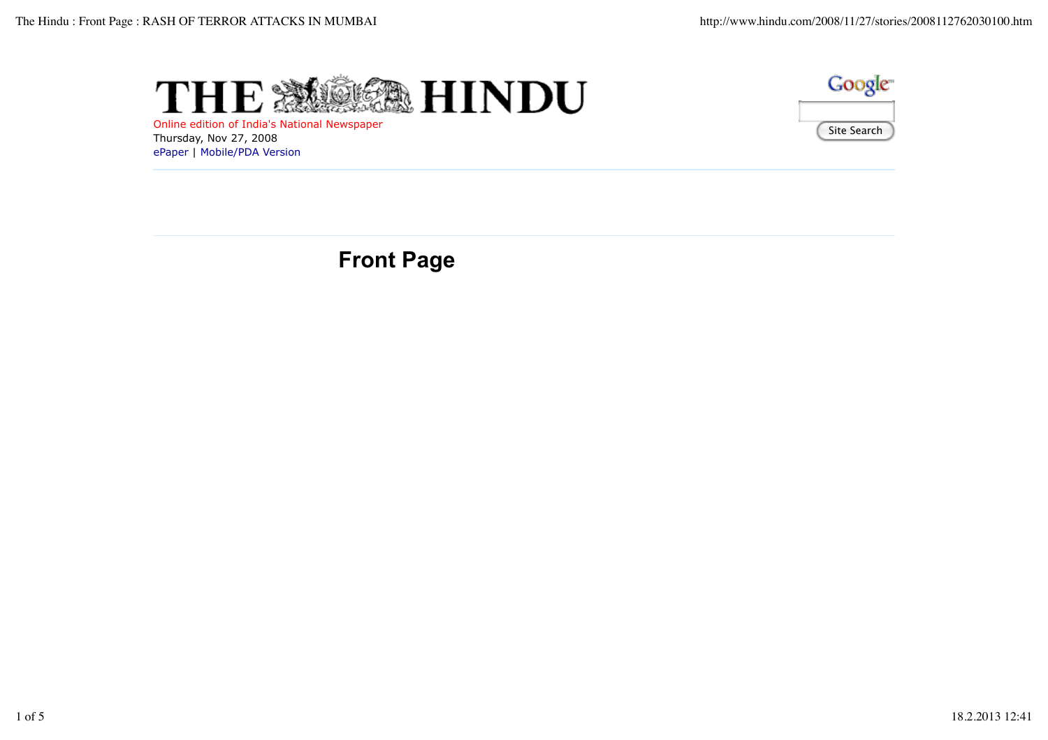



Online edition of India's National Newspaper Thursday, Nov 27, 2008 ePaper | Mobile/PDA Version

**Front Page**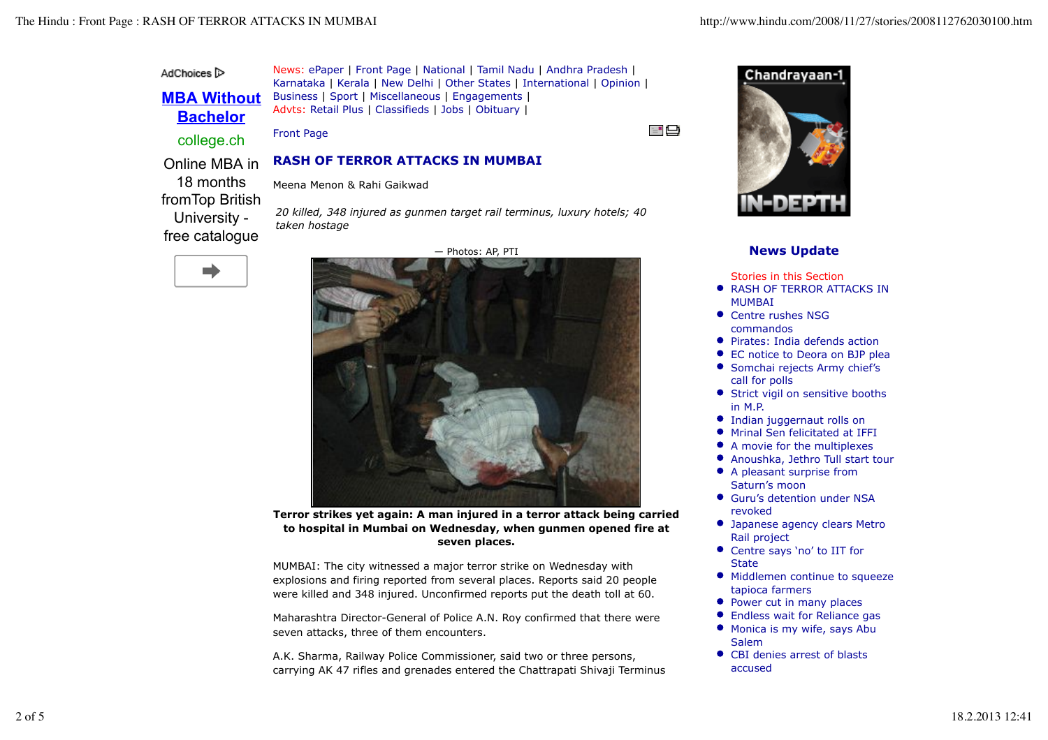AdChoices<sup>1</sup>

**MBA Without Bachelor**

Online MBA in 18 months

News: ePaper | Front Page | National | Tamil Nadu | Andhra Pradesh | Karnataka | Kerala | New Delhi | Other States | International | Opinion | Business | Sport | Miscellaneous | Engagements | Advts: Retail Plus | Classifieds | Jobs | Obituary |

*20 killed, 348 injured as gunmen target rail terminus, luxury hotels; 40*

Front Page college.ch

 $=$   $\Box$ 

## **RASH OF TERROR ATTACKS IN MUMBAI**

Meena Menon & Rahi Gaikwad

*taken hostage*

fromTop British University free catalogue

ш

— Photos: AP, PTI



**Terror strikes yet again: A man injured in a terror attack being carried to hospital in Mumbai on Wednesday, when gunmen opened fire at seven places.**

MUMBAI: The city witnessed a major terror strike on Wednesday with explosions and firing reported from several places. Reports said 20 people were killed and 348 injured. Unconfirmed reports put the death toll at 60.

Maharashtra Director-General of Police A.N. Roy confirmed that there were seven attacks, three of them encounters.

A.K. Sharma, Railway Police Commissioner, said two or three persons, carrying AK 47 rifles and grenades entered the Chattrapati Shivaji Terminus



## **News Update**

Stories in this Section

- **RASH OF TERROR ATTACKS IN** MUMBAI
- Centre rushes NSG commandos
- Pirates: India defends action
- EC notice to Deora on BJP plea
- **Somchai rejects Army chief's** call for polls
- **•** Strict vigil on sensitive booths in M.P.
- Indian juggernaut rolls on
- **•** Mrinal Sen felicitated at IFFI
- A movie for the multiplexes
- Anoushka, Jethro Tull start tour
- A pleasant surprise from Saturn's moon
- Guru's detention under NSA revoked
- Japanese agency clears Metro Rail project
- Centre says 'no' to IIT for **State**
- Middlemen continue to squeeze tapioca farmers
- Power cut in many places
- **•** Endless wait for Reliance gas
- Monica is my wife, says Abu **Salem**
- CBI denies arrest of blasts accused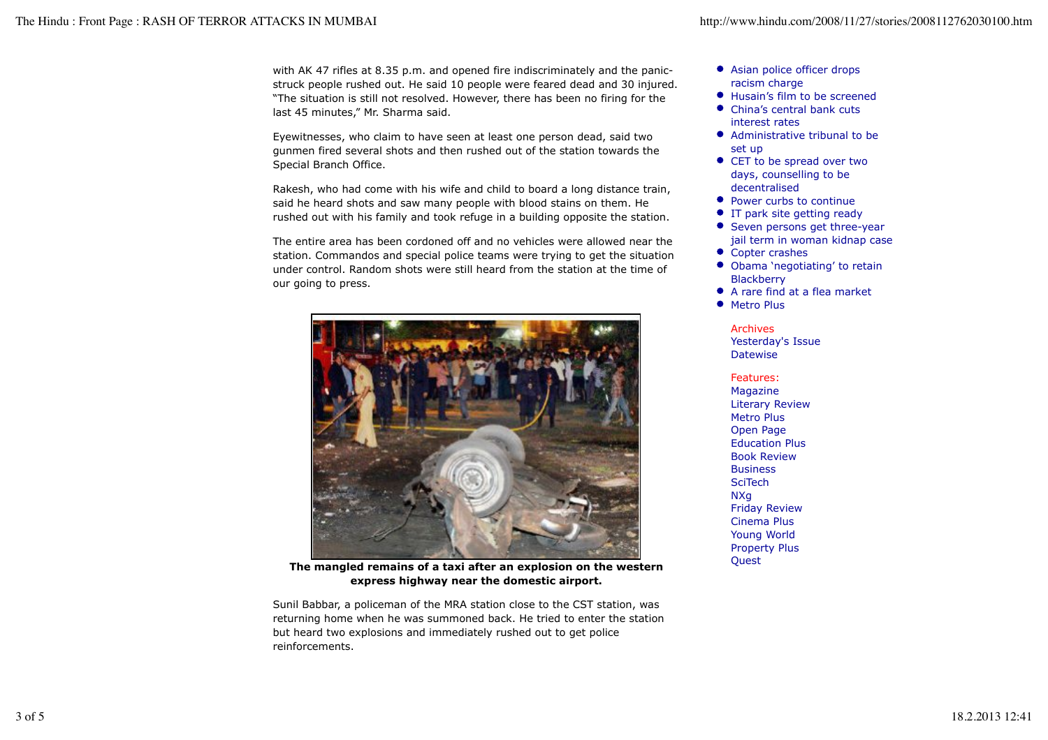with AK 47 rifles at 8.35 p.m. and opened fire indiscriminately and the panicstruck people rushed out. He said 10 people were feared dead and 30 injured. "The situation is still not resolved. However, there has been no firing for the last 45 minutes," Mr. Sharma said.

Eyewitnesses, who claim to have seen at least one person dead, said two gunmen fired several shots and then rushed out of the station towards the Special Branch Office.

Rakesh, who had come with his wife and child to board a long distance train, said he heard shots and saw many people with blood stains on them. He rushed out with his family and took refuge in a building opposite the station.

The entire area has been cordoned off and no vehicles were allowed near the station. Commandos and special police teams were trying to get the situation under control. Random shots were still heard from the station at the time of our going to press.



**The mangled remains of a taxi after an explosion on the western express highway near the domestic airport.**

Sunil Babbar, a policeman of the MRA station close to the CST station, was returning home when he was summoned back. He tried to enter the station but heard two explosions and immediately rushed out to get police reinforcements.

- Asian police officer drops racism charge
- Husain's film to be screened
- China's central bank cuts interest rates
- Administrative tribunal to be set up
- CET to be spread over two days, counselling to be decentralised
- Power curbs to continue
- **IT park site getting ready**
- **Seven persons get three-year** jail term in woman kidnap case
- Copter crashes
- Obama 'negotiating' to retain **Blackberry**
- A rare find at a flea market
- Metro Plus

Archives Yesterday's Issue **Datewise** 

Features: **Magazine** Literary Review Metro Plus Open Page Education Plus Book Review Business **SciTech** NXg Friday Review Cinema Plus Young World Property Plus **Quest**